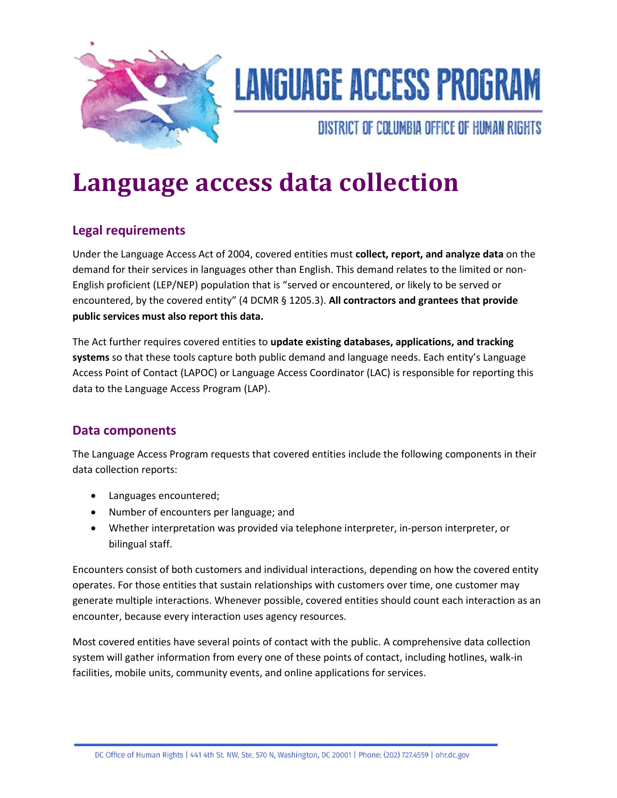

# **LANGUAGE ACCESS PROGRAM**

DISTRICT OF COLUMBIA OFFICE OF HUMAN RIGHTS

# **Language access data collection**

# **Legal requirements**

Under the Language Access Act of 2004, covered entities must **collect, report, and analyze data** on the demand for their services in languages other than English. This demand relates to the limited or non-English proficient (LEP/NEP) population that is "served or encountered, or likely to be served or encountered, by the covered entity" (4 DCMR § 1205.3). **All contractors and grantees that provide public services must also report this data.**

The Act further requires covered entities to **update existing databases, applications, and tracking systems** so that these tools capture both public demand and language needs. Each entity's Language Access Point of Contact (LAPOC) or Language Access Coordinator (LAC) is responsible for reporting this data to the Language Access Program (LAP).

### **Data components**

The Language Access Program requests that covered entities include the following components in their data collection reports:

- Languages encountered;
- Number of encounters per language; and
- Whether interpretation was provided via telephone interpreter, in-person interpreter, or bilingual staff.

Encounters consist of both customers and individual interactions, depending on how the covered entity operates. For those entities that sustain relationships with customers over time, one customer may generate multiple interactions. Whenever possible, covered entities should count each interaction as an encounter, because every interaction uses agency resources.

Most covered entities have several points of contact with the public. A comprehensive data collection system will gather information from every one of these points of contact, including hotlines, walk-in facilities, mobile units, community events, and online applications for services.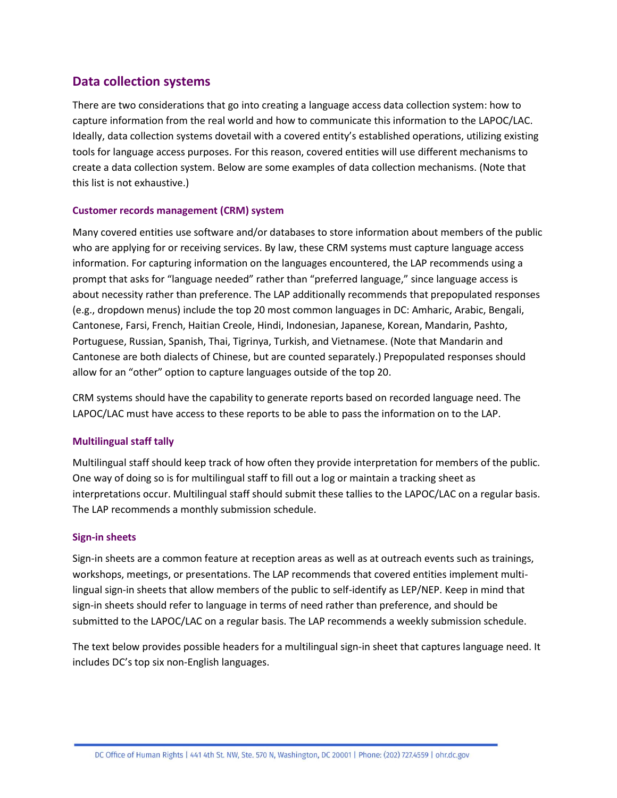### **Data collection systems**

There are two considerations that go into creating a language access data collection system: how to capture information from the real world and how to communicate this information to the LAPOC/LAC. Ideally, data collection systems dovetail with a covered entity's established operations, utilizing existing tools for language access purposes. For this reason, covered entities will use different mechanisms to create a data collection system. Below are some examples of data collection mechanisms. (Note that this list is not exhaustive.)

#### **Customer records management (CRM) system**

Many covered entities use software and/or databases to store information about members of the public who are applying for or receiving services. By law, these CRM systems must capture language access information. For capturing information on the languages encountered, the LAP recommends using a prompt that asks for "language needed" rather than "preferred language," since language access is about necessity rather than preference. The LAP additionally recommends that prepopulated responses (e.g., dropdown menus) include the top 20 most common languages in DC: Amharic, Arabic, Bengali, Cantonese, Farsi, French, Haitian Creole, Hindi, Indonesian, Japanese, Korean, Mandarin, Pashto, Portuguese, Russian, Spanish, Thai, Tigrinya, Turkish, and Vietnamese. (Note that Mandarin and Cantonese are both dialects of Chinese, but are counted separately.) Prepopulated responses should allow for an "other" option to capture languages outside of the top 20.

CRM systems should have the capability to generate reports based on recorded language need. The LAPOC/LAC must have access to these reports to be able to pass the information on to the LAP.

#### **Multilingual staff tally**

Multilingual staff should keep track of how often they provide interpretation for members of the public. One way of doing so is for multilingual staff to fill out a log or maintain a tracking sheet as interpretations occur. Multilingual staff should submit these tallies to the LAPOC/LAC on a regular basis. The LAP recommends a monthly submission schedule.

#### **Sign-in sheets**

Sign-in sheets are a common feature at reception areas as well as at outreach events such as trainings, workshops, meetings, or presentations. The LAP recommends that covered entities implement multilingual sign-in sheets that allow members of the public to self-identify as LEP/NEP. Keep in mind that sign-in sheets should refer to language in terms of need rather than preference, and should be submitted to the LAPOC/LAC on a regular basis. The LAP recommends a weekly submission schedule.

The text below provides possible headers for a multilingual sign-in sheet that captures language need. It includes DC's top six non-English languages.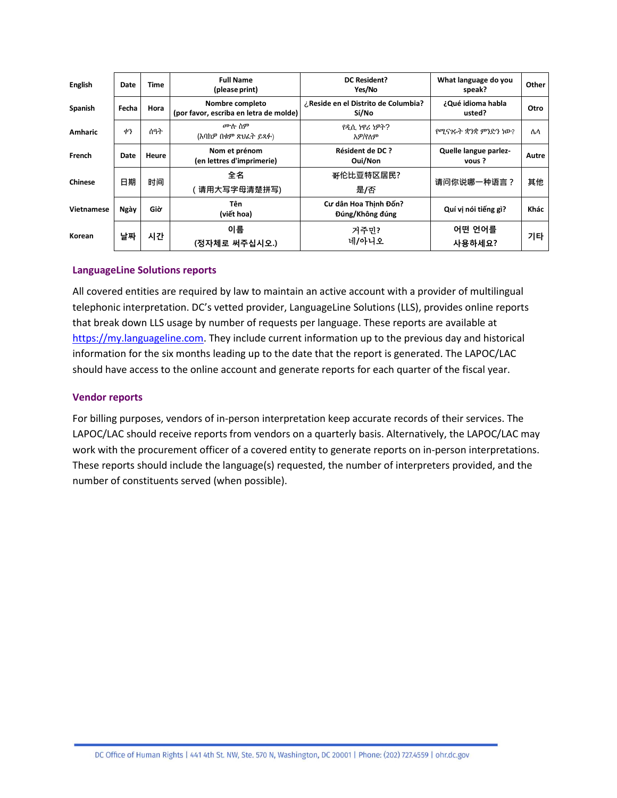| <b>English</b> | Date  | Time  | <b>Full Name</b><br>(please print)                        | <b>DC Resident?</b><br>Yes/No                | What language do you<br>speak?  | Other |
|----------------|-------|-------|-----------------------------------------------------------|----------------------------------------------|---------------------------------|-------|
| Spanish        | Fecha | Hora  | Nombre completo<br>(por favor, escriba en letra de molde) | ¿Reside en el Distrito de Columbia?<br>Sí/No | ¿Qué idioma habla<br>usted?     | Otro  |
| <b>Amharic</b> | ቀን    | ሰዓት   | ሙሉ ስም<br>(እባከዎ በቁም ጽህፈት ይጻፉ)                              | የዲሲ ነዋሪ ነዎት?<br>አዎ/የለም                       | የሚናገሩት ቋንቋ ምንድን ነው?             | ሌላ    |
| French         | Date  | Heure | Nom et prénom<br>(en lettres d'imprimerie)                | <b>Résident de DC?</b><br>Oui/Non            | Quelle langue parlez-<br>vous ? | Autre |
| Chinese        | 日期    | 时间    | 全名<br>请用大写字母清楚拼写)                                         | 哥伦比亚特区居民?<br>是/否                             | 请问你说哪一种语言?                      | 其他    |
| Vietnamese     | Ngày  | Giờ   | Tên<br>(viết hoa)                                         | Cư dân Hoa Thinh Đốn?<br>Đúng/Không đúng     | Quí vi nói tiếng gì?            | Khác  |
| Korean         | 날짜    | 시간    | 이름<br>(정자체로 써주십시오.)                                       | 거주민?<br>네/아니오                                | 어떤 언어를<br>사용하세요?                | 기타    |

#### **LanguageLine Solutions reports**

All covered entities are required by law to maintain an active account with a provider of multilingual telephonic interpretation. DC's vetted provider, LanguageLine Solutions (LLS), provides online reports that break down LLS usage by number of requests per language. These reports are available at [https://my.languageline.com.](https://my.languageline.com/) They include current information up to the previous day and historical information for the six months leading up to the date that the report is generated. The LAPOC/LAC should have access to the online account and generate reports for each quarter of the fiscal year.

#### **Vendor reports**

For billing purposes, vendors of in-person interpretation keep accurate records of their services. The LAPOC/LAC should receive reports from vendors on a quarterly basis. Alternatively, the LAPOC/LAC may work with the procurement officer of a covered entity to generate reports on in-person interpretations. These reports should include the language(s) requested, the number of interpreters provided, and the number of constituents served (when possible).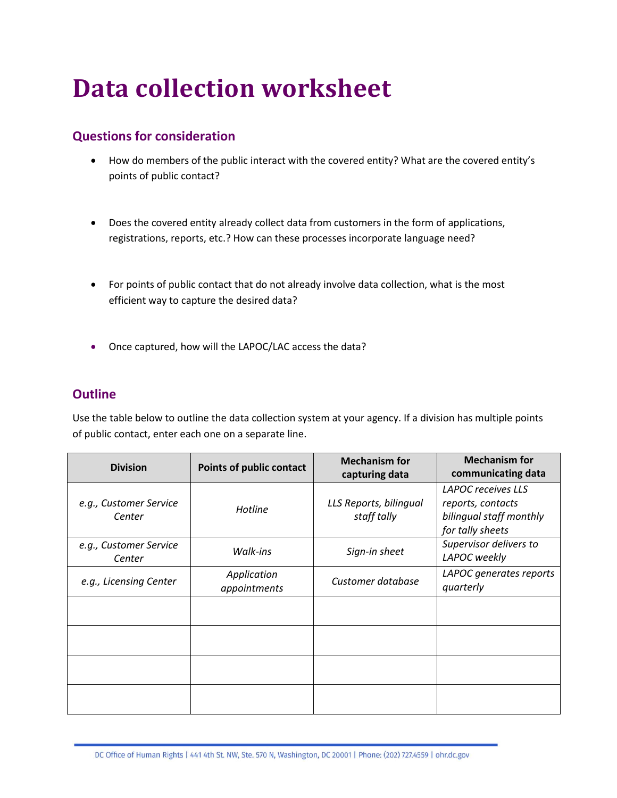# **Data collection worksheet**

# **Questions for consideration**

- How do members of the public interact with the covered entity? What are the covered entity's points of public contact?
- Does the covered entity already collect data from customers in the form of applications, registrations, reports, etc.? How can these processes incorporate language need?
- For points of public contact that do not already involve data collection, what is the most efficient way to capture the desired data?
- Once captured, how will the LAPOC/LAC access the data?

# **Outline**

Use the table below to outline the data collection system at your agency. If a division has multiple points of public contact, enter each one on a separate line.

| <b>Division</b>                  | <b>Points of public contact</b> | <b>Mechanism for</b><br>capturing data | <b>Mechanism for</b><br>communicating data                                             |
|----------------------------------|---------------------------------|----------------------------------------|----------------------------------------------------------------------------------------|
| e.g., Customer Service<br>Center | Hotline                         | LLS Reports, bilingual<br>staff tally  | LAPOC receives LLS<br>reports, contacts<br>bilingual staff monthly<br>for tally sheets |
| e.g., Customer Service<br>Center | Walk-ins                        | Sign-in sheet                          | Supervisor delivers to<br>LAPOC weekly                                                 |
| e.g., Licensing Center           | Application<br>appointments     | Customer database                      | LAPOC generates reports<br>quarterly                                                   |
|                                  |                                 |                                        |                                                                                        |
|                                  |                                 |                                        |                                                                                        |
|                                  |                                 |                                        |                                                                                        |
|                                  |                                 |                                        |                                                                                        |